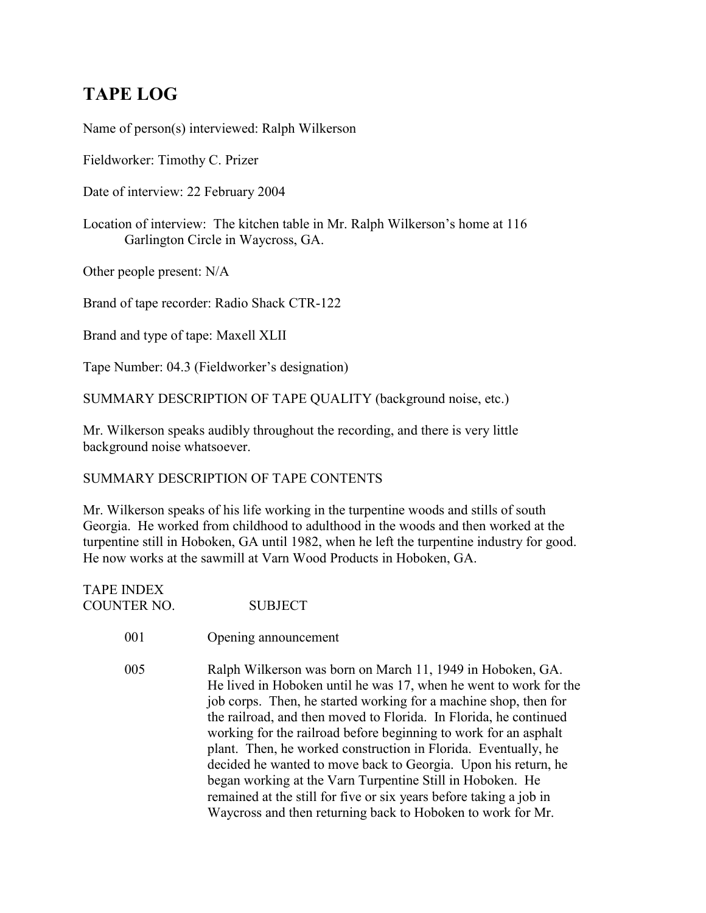# **TAPE LOG**

Name of person(s) interviewed: Ralph Wilkerson

Fieldworker: Timothy C. Prizer

Date of interview: 22 February 2004

Location of interview: The kitchen table in Mr. Ralph Wilkerson's home at 116 Garlington Circle in Waycross, GA.

Other people present: N/A

Brand of tape recorder: Radio Shack CTR-122

Brand and type of tape: Maxell XLII

Tape Number: 04.3 (Fieldworker's designation)

SUMMARY DESCRIPTION OF TAPE QUALITY (background noise, etc.)

Mr. Wilkerson speaks audibly throughout the recording, and there is very little background noise whatsoever.

# SUMMARY DESCRIPTION OF TAPE CONTENTS

Mr. Wilkerson speaks of his life working in the turpentine woods and stills of south Georgia. He worked from childhood to adulthood in the woods and then worked at the turpentine still in Hoboken, GA until 1982, when he left the turpentine industry for good. He now works at the sawmill at Varn Wood Products in Hoboken, GA.

| <b>TAPE INDEX</b> |                |
|-------------------|----------------|
| COUNTER NO.       | <b>SUBJECT</b> |

001 Opening announcement

005 Ralph Wilkerson was born on March 11, 1949 in Hoboken, GA. He lived in Hoboken until he was 17, when he went to work for the job corps. Then, he started working for a machine shop, then for the railroad, and then moved to Florida. In Florida, he continued working for the railroad before beginning to work for an asphalt plant. Then, he worked construction in Florida. Eventually, he decided he wanted to move back to Georgia. Upon his return, he began working at the Varn Turpentine Still in Hoboken. He remained at the still for five or six years before taking a job in Waycross and then returning back to Hoboken to work for Mr.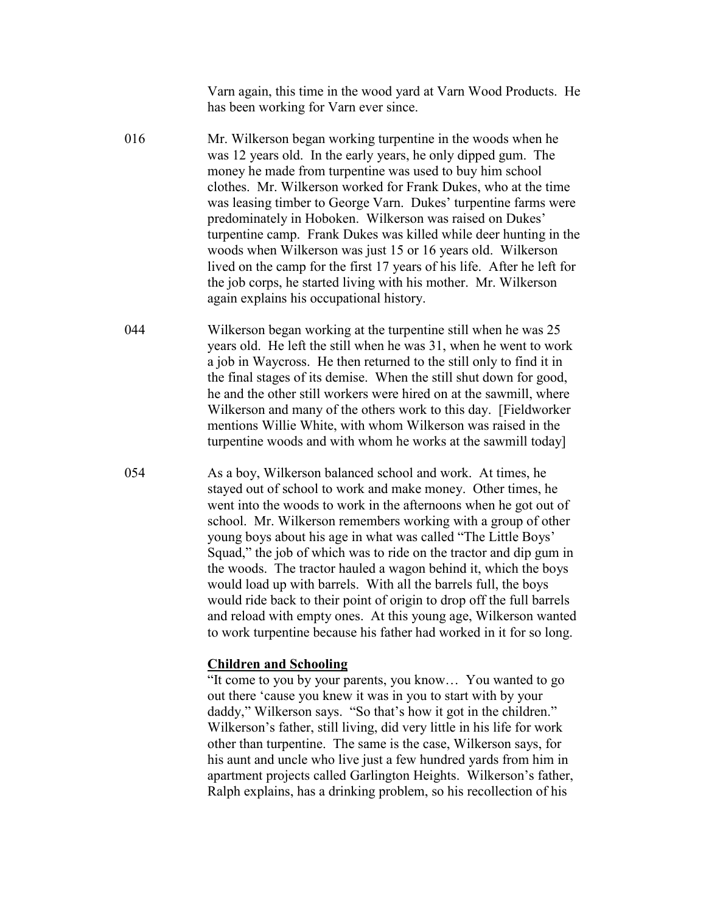Varn again, this time in the wood yard at Varn Wood Products. He has been working for Varn ever since.

- 016 Mr. Wilkerson began working turpentine in the woods when he was 12 years old. In the early years, he only dipped gum. The money he made from turpentine was used to buy him school clothes. Mr. Wilkerson worked for Frank Dukes, who at the time was leasing timber to George Varn. Dukes' turpentine farms were predominately in Hoboken. Wilkerson was raised on Dukes' turpentine camp. Frank Dukes was killed while deer hunting in the woods when Wilkerson was just 15 or 16 years old. Wilkerson lived on the camp for the first 17 years of his life. After he left for the job corps, he started living with his mother. Mr. Wilkerson again explains his occupational history.
- 044 Wilkerson began working at the turpentine still when he was 25 years old. He left the still when he was 31, when he went to work a job in Waycross. He then returned to the still only to find it in the final stages of its demise. When the still shut down for good, he and the other still workers were hired on at the sawmill, where Wilkerson and many of the others work to this day. [Fieldworker mentions Willie White, with whom Wilkerson was raised in the turpentine woods and with whom he works at the sawmill today]
- 054 As a boy, Wilkerson balanced school and work. At times, he stayed out of school to work and make money. Other times, he went into the woods to work in the afternoons when he got out of school. Mr. Wilkerson remembers working with a group of other young boys about his age in what was called "The Little Boys' Squad," the job of which was to ride on the tractor and dip gum in the woods. The tractor hauled a wagon behind it, which the boys would load up with barrels. With all the barrels full, the boys would ride back to their point of origin to drop off the full barrels and reload with empty ones. At this young age, Wilkerson wanted to work turpentine because his father had worked in it for so long.

## **Children and Schooling**

"It come to you by your parents, you know… You wanted to go out there 'cause you knew it was in you to start with by your daddy," Wilkerson says. "So that's how it got in the children." Wilkerson's father, still living, did very little in his life for work other than turpentine. The same is the case, Wilkerson says, for his aunt and uncle who live just a few hundred yards from him in apartment projects called Garlington Heights. Wilkerson's father, Ralph explains, has a drinking problem, so his recollection of his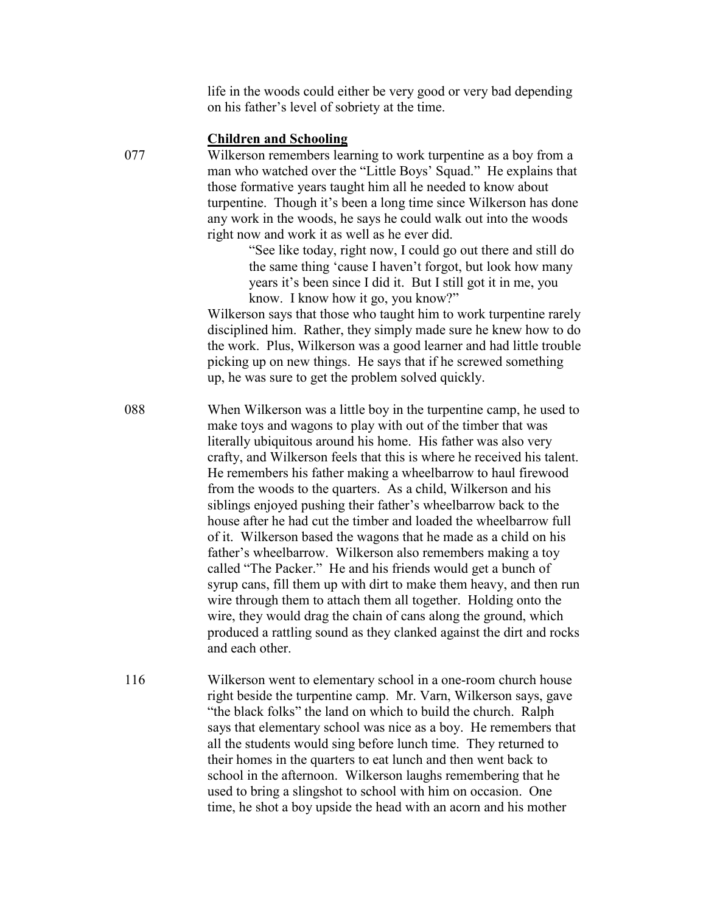life in the woods could either be very good or very bad depending on his father's level of sobriety at the time.

### **Children and Schooling**

077 Wilkerson remembers learning to work turpentine as a boy from a man who watched over the "Little Boys' Squad." He explains that those formative years taught him all he needed to know about turpentine. Though it's been a long time since Wilkerson has done any work in the woods, he says he could walk out into the woods right now and work it as well as he ever did.

> "See like today, right now, I could go out there and still do the same thing 'cause I haven't forgot, but look how many years it's been since I did it. But I still got it in me, you know. I know how it go, you know?"

Wilkerson says that those who taught him to work turpentine rarely disciplined him. Rather, they simply made sure he knew how to do the work. Plus, Wilkerson was a good learner and had little trouble picking up on new things. He says that if he screwed something up, he was sure to get the problem solved quickly.

088 When Wilkerson was a little boy in the turpentine camp, he used to make toys and wagons to play with out of the timber that was literally ubiquitous around his home. His father was also very crafty, and Wilkerson feels that this is where he received his talent. He remembers his father making a wheelbarrow to haul firewood from the woods to the quarters. As a child, Wilkerson and his siblings enjoyed pushing their father's wheelbarrow back to the house after he had cut the timber and loaded the wheelbarrow full of it. Wilkerson based the wagons that he made as a child on his father's wheelbarrow. Wilkerson also remembers making a toy called "The Packer." He and his friends would get a bunch of syrup cans, fill them up with dirt to make them heavy, and then run wire through them to attach them all together. Holding onto the wire, they would drag the chain of cans along the ground, which produced a rattling sound as they clanked against the dirt and rocks and each other.

116 Wilkerson went to elementary school in a one-room church house right beside the turpentine camp. Mr. Varn, Wilkerson says, gave "the black folks" the land on which to build the church. Ralph says that elementary school was nice as a boy. He remembers that all the students would sing before lunch time. They returned to their homes in the quarters to eat lunch and then went back to school in the afternoon. Wilkerson laughs remembering that he used to bring a slingshot to school with him on occasion. One time, he shot a boy upside the head with an acorn and his mother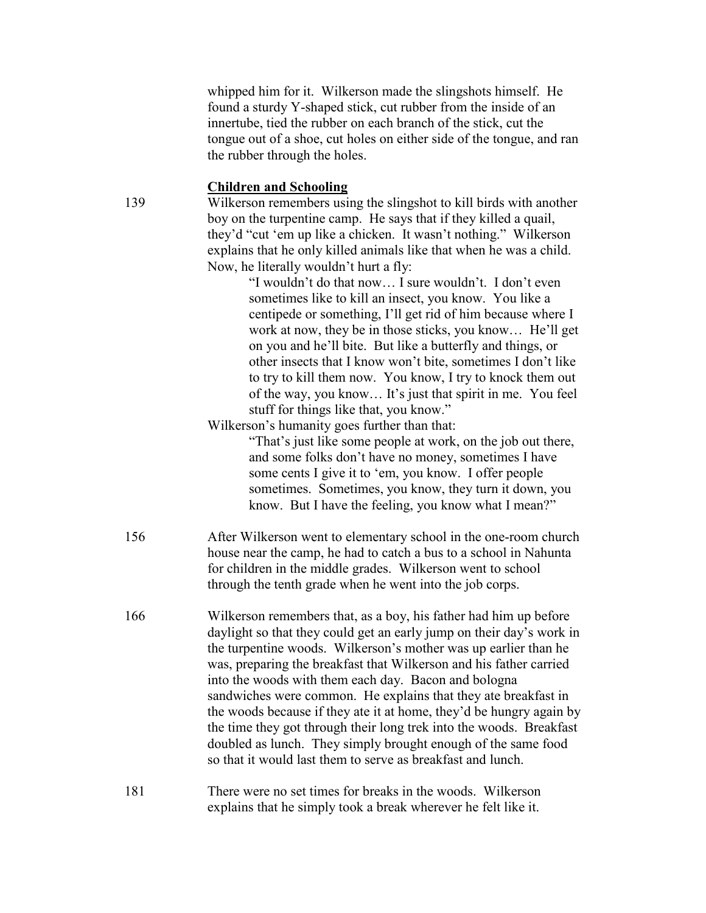whipped him for it. Wilkerson made the slingshots himself. He found a sturdy Y-shaped stick, cut rubber from the inside of an innertube, tied the rubber on each branch of the stick, cut the tongue out of a shoe, cut holes on either side of the tongue, and ran the rubber through the holes.

## **Children and Schooling**

139 Wilkerson remembers using the slingshot to kill birds with another boy on the turpentine camp. He says that if they killed a quail, they'd "cut 'em up like a chicken. It wasn't nothing." Wilkerson explains that he only killed animals like that when he was a child. Now, he literally wouldn't hurt a fly:

> "I wouldn't do that now… I sure wouldn't. I don't even sometimes like to kill an insect, you know. You like a centipede or something, I'll get rid of him because where I work at now, they be in those sticks, you know… He'll get on you and he'll bite. But like a butterfly and things, or other insects that I know won't bite, sometimes I don't like to try to kill them now. You know, I try to knock them out of the way, you know… It's just that spirit in me. You feel stuff for things like that, you know."

## Wilkerson's humanity goes further than that:

"That's just like some people at work, on the job out there, and some folks don't have no money, sometimes I have some cents I give it to 'em, you know. I offer people sometimes. Sometimes, you know, they turn it down, you know. But I have the feeling, you know what I mean?"

- 156 After Wilkerson went to elementary school in the one-room church house near the camp, he had to catch a bus to a school in Nahunta for children in the middle grades. Wilkerson went to school through the tenth grade when he went into the job corps.
- 166 Wilkerson remembers that, as a boy, his father had him up before daylight so that they could get an early jump on their day's work in the turpentine woods. Wilkerson's mother was up earlier than he was, preparing the breakfast that Wilkerson and his father carried into the woods with them each day. Bacon and bologna sandwiches were common. He explains that they ate breakfast in the woods because if they ate it at home, they'd be hungry again by the time they got through their long trek into the woods. Breakfast doubled as lunch. They simply brought enough of the same food so that it would last them to serve as breakfast and lunch.

# 181 There were no set times for breaks in the woods. Wilkerson explains that he simply took a break wherever he felt like it.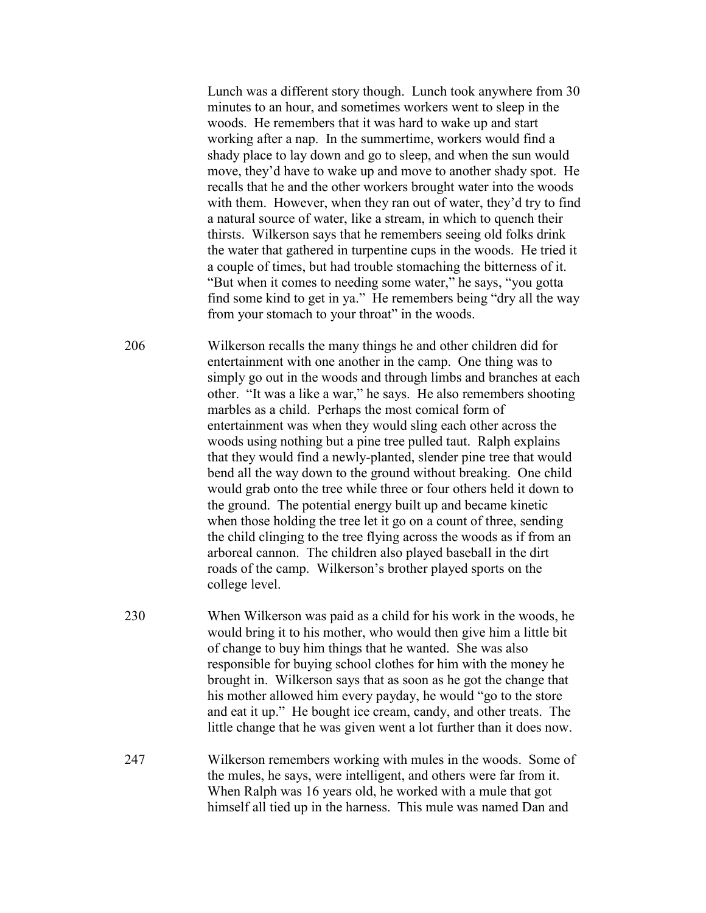Lunch was a different story though. Lunch took anywhere from 30 minutes to an hour, and sometimes workers went to sleep in the woods. He remembers that it was hard to wake up and start working after a nap. In the summertime, workers would find a shady place to lay down and go to sleep, and when the sun would move, they'd have to wake up and move to another shady spot. He recalls that he and the other workers brought water into the woods with them. However, when they ran out of water, they'd try to find a natural source of water, like a stream, in which to quench their thirsts. Wilkerson says that he remembers seeing old folks drink the water that gathered in turpentine cups in the woods. He tried it a couple of times, but had trouble stomaching the bitterness of it. "But when it comes to needing some water," he says, "you gotta find some kind to get in ya." He remembers being "dry all the way from your stomach to your throat" in the woods.

206 Wilkerson recalls the many things he and other children did for entertainment with one another in the camp. One thing was to simply go out in the woods and through limbs and branches at each other. "It was a like a war," he says. He also remembers shooting marbles as a child. Perhaps the most comical form of entertainment was when they would sling each other across the woods using nothing but a pine tree pulled taut. Ralph explains that they would find a newly-planted, slender pine tree that would bend all the way down to the ground without breaking. One child would grab onto the tree while three or four others held it down to the ground. The potential energy built up and became kinetic when those holding the tree let it go on a count of three, sending the child clinging to the tree flying across the woods as if from an arboreal cannon. The children also played baseball in the dirt roads of the camp. Wilkerson's brother played sports on the college level.

- 230 When Wilkerson was paid as a child for his work in the woods, he would bring it to his mother, who would then give him a little bit of change to buy him things that he wanted. She was also responsible for buying school clothes for him with the money he brought in. Wilkerson says that as soon as he got the change that his mother allowed him every payday, he would "go to the store and eat it up." He bought ice cream, candy, and other treats. The little change that he was given went a lot further than it does now.
- 247 Wilkerson remembers working with mules in the woods. Some of the mules, he says, were intelligent, and others were far from it. When Ralph was 16 years old, he worked with a mule that got himself all tied up in the harness. This mule was named Dan and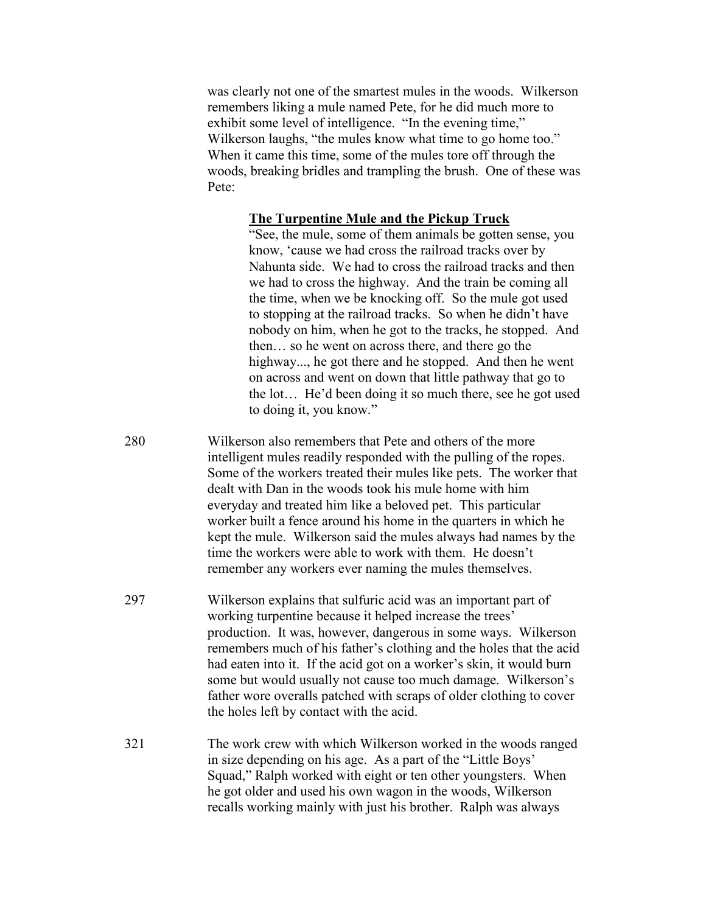was clearly not one of the smartest mules in the woods. Wilkerson remembers liking a mule named Pete, for he did much more to exhibit some level of intelligence. "In the evening time," Wilkerson laughs, "the mules know what time to go home too." When it came this time, some of the mules tore off through the woods, breaking bridles and trampling the brush. One of these was Pete:

#### **The Turpentine Mule and the Pickup Truck**

"See, the mule, some of them animals be gotten sense, you know, 'cause we had cross the railroad tracks over by Nahunta side. We had to cross the railroad tracks and then we had to cross the highway. And the train be coming all the time, when we be knocking off. So the mule got used to stopping at the railroad tracks. So when he didn't have nobody on him, when he got to the tracks, he stopped. And then… so he went on across there, and there go the highway..., he got there and he stopped. And then he went on across and went on down that little pathway that go to the lot… He'd been doing it so much there, see he got used to doing it, you know."

280 Wilkerson also remembers that Pete and others of the more intelligent mules readily responded with the pulling of the ropes. Some of the workers treated their mules like pets. The worker that dealt with Dan in the woods took his mule home with him everyday and treated him like a beloved pet. This particular worker built a fence around his home in the quarters in which he kept the mule. Wilkerson said the mules always had names by the time the workers were able to work with them. He doesn't remember any workers ever naming the mules themselves.

- 297 Wilkerson explains that sulfuric acid was an important part of working turpentine because it helped increase the trees' production. It was, however, dangerous in some ways. Wilkerson remembers much of his father's clothing and the holes that the acid had eaten into it. If the acid got on a worker's skin, it would burn some but would usually not cause too much damage. Wilkerson's father wore overalls patched with scraps of older clothing to cover the holes left by contact with the acid.
- 321 The work crew with which Wilkerson worked in the woods ranged in size depending on his age. As a part of the "Little Boys' Squad," Ralph worked with eight or ten other youngsters. When he got older and used his own wagon in the woods, Wilkerson recalls working mainly with just his brother. Ralph was always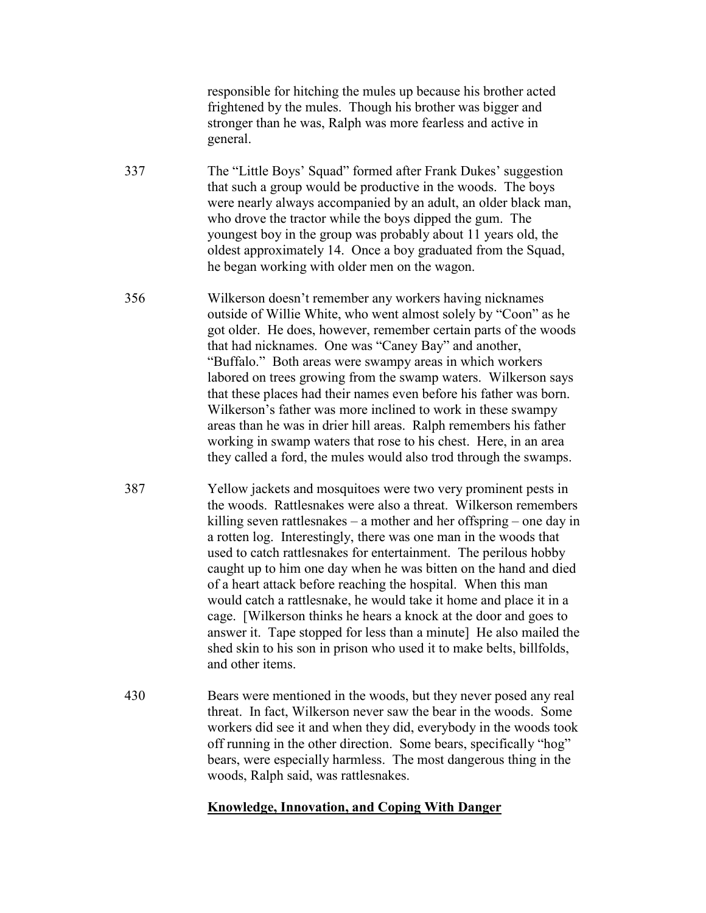responsible for hitching the mules up because his brother acted frightened by the mules. Though his brother was bigger and stronger than he was, Ralph was more fearless and active in general.

- 337 The "Little Boys' Squad" formed after Frank Dukes' suggestion that such a group would be productive in the woods. The boys were nearly always accompanied by an adult, an older black man, who drove the tractor while the boys dipped the gum. The youngest boy in the group was probably about 11 years old, the oldest approximately 14. Once a boy graduated from the Squad, he began working with older men on the wagon.
- 356 Wilkerson doesn't remember any workers having nicknames outside of Willie White, who went almost solely by "Coon" as he got older. He does, however, remember certain parts of the woods that had nicknames. One was "Caney Bay" and another, "Buffalo." Both areas were swampy areas in which workers labored on trees growing from the swamp waters. Wilkerson says that these places had their names even before his father was born. Wilkerson's father was more inclined to work in these swampy areas than he was in drier hill areas. Ralph remembers his father working in swamp waters that rose to his chest. Here, in an area they called a ford, the mules would also trod through the swamps.
- 387 Yellow jackets and mosquitoes were two very prominent pests in the woods. Rattlesnakes were also a threat. Wilkerson remembers killing seven rattlesnakes – a mother and her offspring – one day in a rotten log. Interestingly, there was one man in the woods that used to catch rattlesnakes for entertainment. The perilous hobby caught up to him one day when he was bitten on the hand and died of a heart attack before reaching the hospital. When this man would catch a rattlesnake, he would take it home and place it in a cage. [Wilkerson thinks he hears a knock at the door and goes to answer it. Tape stopped for less than a minute] He also mailed the shed skin to his son in prison who used it to make belts, billfolds, and other items.
- 430 Bears were mentioned in the woods, but they never posed any real threat. In fact, Wilkerson never saw the bear in the woods. Some workers did see it and when they did, everybody in the woods took off running in the other direction. Some bears, specifically "hog" bears, were especially harmless. The most dangerous thing in the woods, Ralph said, was rattlesnakes.

## **Knowledge, Innovation, and Coping With Danger**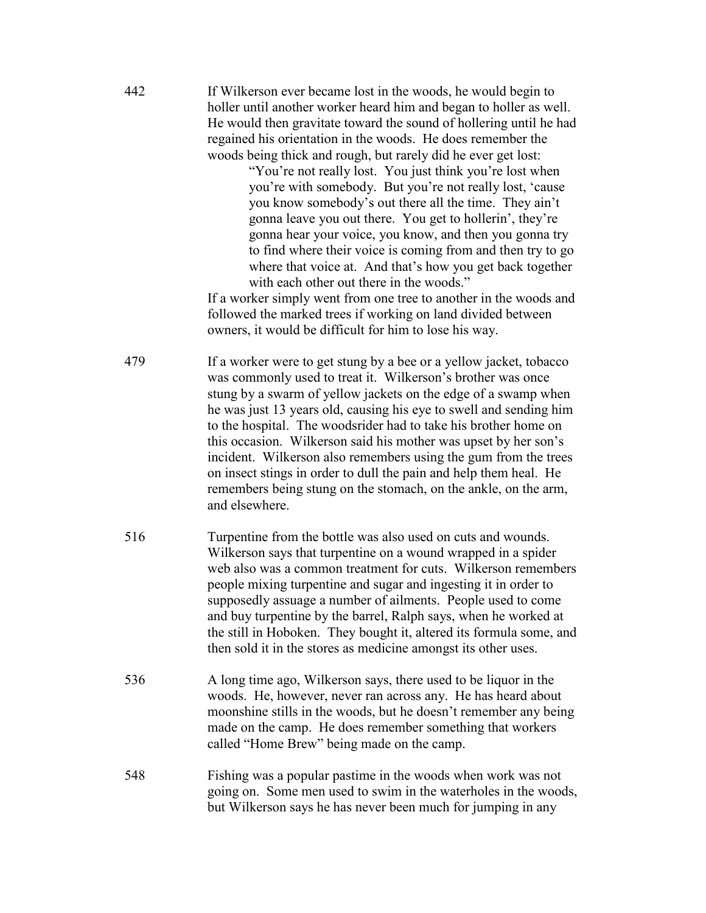442 If Wilkerson ever became lost in the woods, he would begin to holler until another worker heard him and began to holler as well. He would then gravitate toward the sound of hollering until he had regained his orientation in the woods. He does remember the woods being thick and rough, but rarely did he ever get lost:

> "You're not really lost. You just think you're lost when you're with somebody. But you're not really lost, 'cause you know somebody's out there all the time. They ain't gonna leave you out there. You get to hollerin', they're gonna hear your voice, you know, and then you gonna try to find where their voice is coming from and then try to go where that voice at. And that's how you get back together with each other out there in the woods."

If a worker simply went from one tree to another in the woods and followed the marked trees if working on land divided between owners, it would be difficult for him to lose his way.

- 479 If a worker were to get stung by a bee or a yellow jacket, tobacco was commonly used to treat it. Wilkerson's brother was once stung by a swarm of yellow jackets on the edge of a swamp when he was just 13 years old, causing his eye to swell and sending him to the hospital. The woodsrider had to take his brother home on this occasion. Wilkerson said his mother was upset by her son's incident. Wilkerson also remembers using the gum from the trees on insect stings in order to dull the pain and help them heal. He remembers being stung on the stomach, on the ankle, on the arm, and elsewhere.
- 516 Turpentine from the bottle was also used on cuts and wounds. Wilkerson says that turpentine on a wound wrapped in a spider web also was a common treatment for cuts. Wilkerson remembers people mixing turpentine and sugar and ingesting it in order to supposedly assuage a number of ailments. People used to come and buy turpentine by the barrel, Ralph says, when he worked at the still in Hoboken. They bought it, altered its formula some, and then sold it in the stores as medicine amongst its other uses.
- 536 A long time ago, Wilkerson says, there used to be liquor in the woods. He, however, never ran across any. He has heard about moonshine stills in the woods, but he doesn't remember any being made on the camp. He does remember something that workers called "Home Brew" being made on the camp.
- 548 Fishing was a popular pastime in the woods when work was not going on. Some men used to swim in the waterholes in the woods, but Wilkerson says he has never been much for jumping in any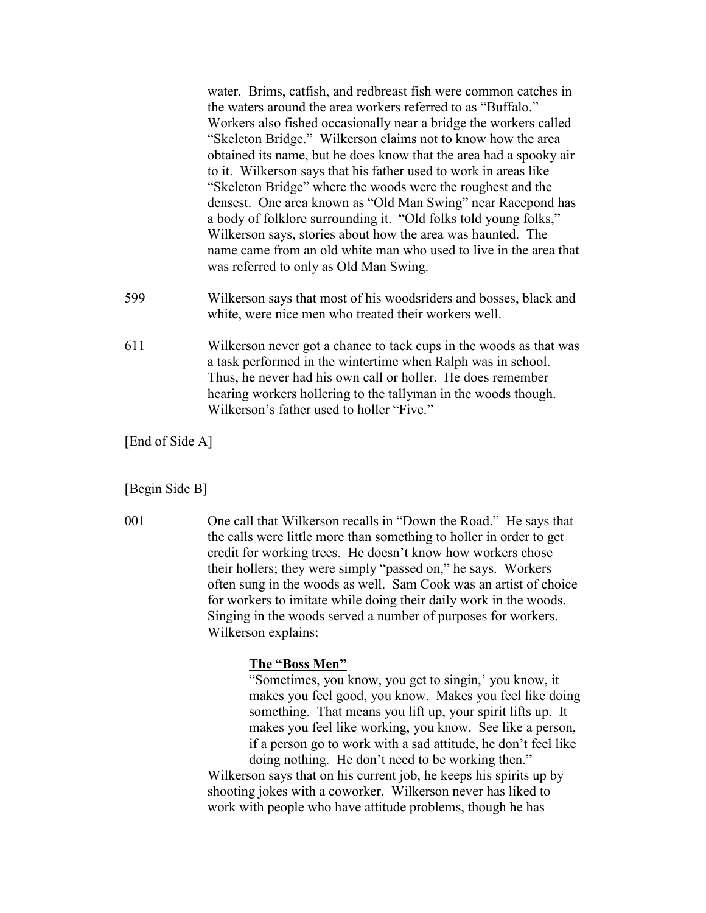water. Brims, catfish, and redbreast fish were common catches in the waters around the area workers referred to as "Buffalo." Workers also fished occasionally near a bridge the workers called "Skeleton Bridge." Wilkerson claims not to know how the area obtained its name, but he does know that the area had a spooky air to it. Wilkerson says that his father used to work in areas like "Skeleton Bridge" where the woods were the roughest and the densest. One area known as "Old Man Swing" near Racepond has a body of folklore surrounding it. "Old folks told young folks," Wilkerson says, stories about how the area was haunted. The name came from an old white man who used to live in the area that was referred to only as Old Man Swing.

- 599 Wilkerson says that most of his woodsriders and bosses, black and white, were nice men who treated their workers well.
- 611 Wilkerson never got a chance to tack cups in the woods as that was a task performed in the wintertime when Ralph was in school. Thus, he never had his own call or holler. He does remember hearing workers hollering to the tallyman in the woods though. Wilkerson's father used to holler "Five."

[End of Side A]

#### [Begin Side B]

001 One call that Wilkerson recalls in "Down the Road." He says that the calls were little more than something to holler in order to get credit for working trees. He doesn't know how workers chose their hollers; they were simply "passed on," he says. Workers often sung in the woods as well. Sam Cook was an artist of choice for workers to imitate while doing their daily work in the woods. Singing in the woods served a number of purposes for workers. Wilkerson explains:

#### **The "Boss Men"**

"Sometimes, you know, you get to singin,' you know, it makes you feel good, you know. Makes you feel like doing something. That means you lift up, your spirit lifts up. It makes you feel like working, you know. See like a person, if a person go to work with a sad attitude, he don't feel like doing nothing. He don't need to be working then."

Wilkerson says that on his current job, he keeps his spirits up by shooting jokes with a coworker. Wilkerson never has liked to work with people who have attitude problems, though he has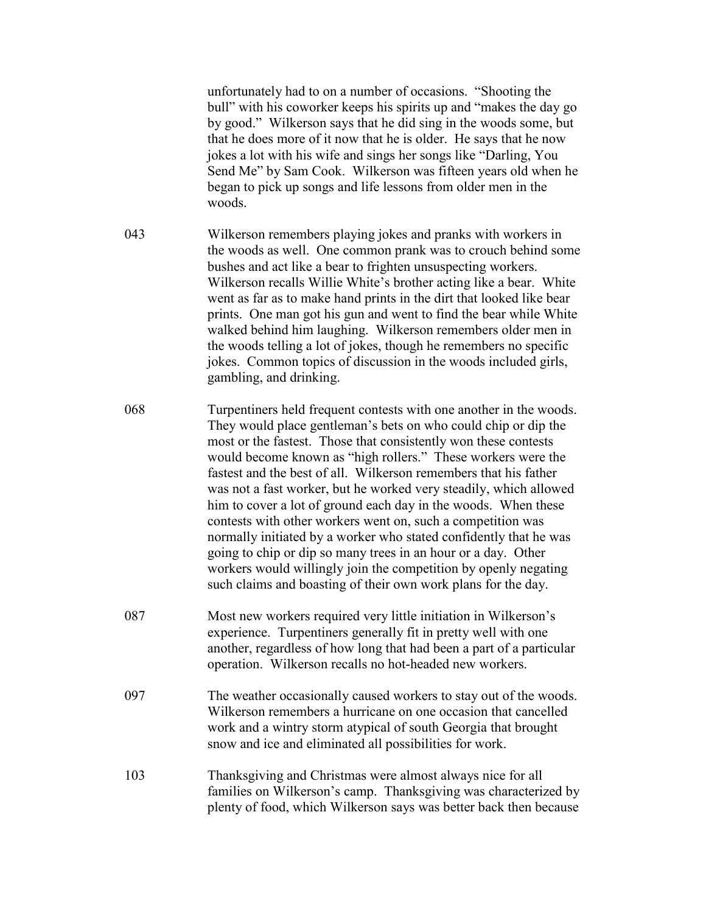unfortunately had to on a number of occasions. "Shooting the bull" with his coworker keeps his spirits up and "makes the day go by good." Wilkerson says that he did sing in the woods some, but that he does more of it now that he is older. He says that he now jokes a lot with his wife and sings her songs like "Darling, You Send Me" by Sam Cook. Wilkerson was fifteen years old when he began to pick up songs and life lessons from older men in the woods.

- 043 Wilkerson remembers playing jokes and pranks with workers in the woods as well. One common prank was to crouch behind some bushes and act like a bear to frighten unsuspecting workers. Wilkerson recalls Willie White's brother acting like a bear. White went as far as to make hand prints in the dirt that looked like bear prints. One man got his gun and went to find the bear while White walked behind him laughing. Wilkerson remembers older men in the woods telling a lot of jokes, though he remembers no specific jokes. Common topics of discussion in the woods included girls, gambling, and drinking.
- 068 Turpentiners held frequent contests with one another in the woods. They would place gentleman's bets on who could chip or dip the most or the fastest. Those that consistently won these contests would become known as "high rollers." These workers were the fastest and the best of all. Wilkerson remembers that his father was not a fast worker, but he worked very steadily, which allowed him to cover a lot of ground each day in the woods. When these contests with other workers went on, such a competition was normally initiated by a worker who stated confidently that he was going to chip or dip so many trees in an hour or a day. Other workers would willingly join the competition by openly negating such claims and boasting of their own work plans for the day.
- 087 Most new workers required very little initiation in Wilkerson's experience. Turpentiners generally fit in pretty well with one another, regardless of how long that had been a part of a particular operation. Wilkerson recalls no hot-headed new workers.
- 097 The weather occasionally caused workers to stay out of the woods. Wilkerson remembers a hurricane on one occasion that cancelled work and a wintry storm atypical of south Georgia that brought snow and ice and eliminated all possibilities for work.
- 103 Thanksgiving and Christmas were almost always nice for all families on Wilkerson's camp. Thanksgiving was characterized by plenty of food, which Wilkerson says was better back then because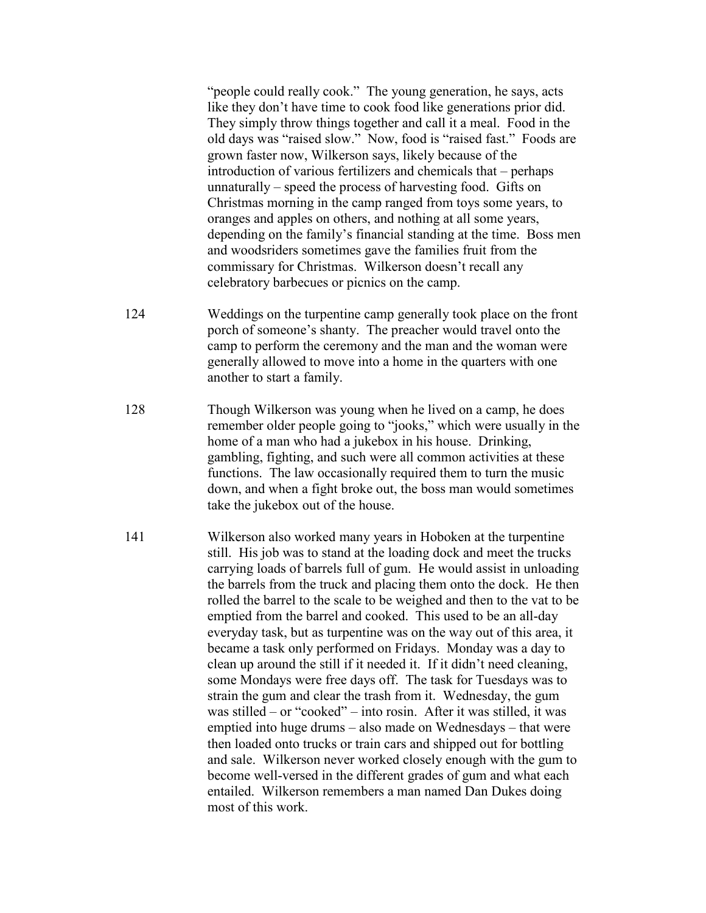"people could really cook." The young generation, he says, acts like they don't have time to cook food like generations prior did. They simply throw things together and call it a meal. Food in the old days was "raised slow." Now, food is "raised fast." Foods are grown faster now, Wilkerson says, likely because of the introduction of various fertilizers and chemicals that – perhaps unnaturally – speed the process of harvesting food. Gifts on Christmas morning in the camp ranged from toys some years, to oranges and apples on others, and nothing at all some years, depending on the family's financial standing at the time. Boss men and woodsriders sometimes gave the families fruit from the commissary for Christmas. Wilkerson doesn't recall any celebratory barbecues or picnics on the camp.

- 124 Weddings on the turpentine camp generally took place on the front porch of someone's shanty. The preacher would travel onto the camp to perform the ceremony and the man and the woman were generally allowed to move into a home in the quarters with one another to start a family.
- 128 Though Wilkerson was young when he lived on a camp, he does remember older people going to "jooks," which were usually in the home of a man who had a jukebox in his house. Drinking, gambling, fighting, and such were all common activities at these functions. The law occasionally required them to turn the music down, and when a fight broke out, the boss man would sometimes take the jukebox out of the house.
- 141 Wilkerson also worked many years in Hoboken at the turpentine still. His job was to stand at the loading dock and meet the trucks carrying loads of barrels full of gum. He would assist in unloading the barrels from the truck and placing them onto the dock. He then rolled the barrel to the scale to be weighed and then to the vat to be emptied from the barrel and cooked. This used to be an all-day everyday task, but as turpentine was on the way out of this area, it became a task only performed on Fridays. Monday was a day to clean up around the still if it needed it. If it didn't need cleaning, some Mondays were free days off. The task for Tuesdays was to strain the gum and clear the trash from it. Wednesday, the gum was stilled – or "cooked" – into rosin. After it was stilled, it was emptied into huge drums – also made on Wednesdays – that were then loaded onto trucks or train cars and shipped out for bottling and sale. Wilkerson never worked closely enough with the gum to become well-versed in the different grades of gum and what each entailed. Wilkerson remembers a man named Dan Dukes doing most of this work.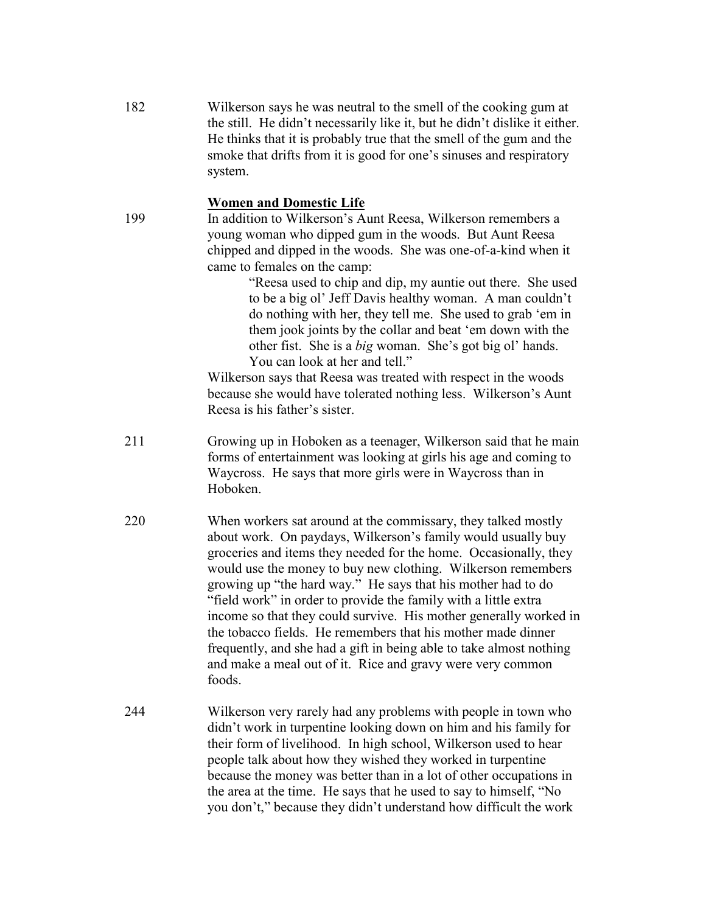182 Wilkerson says he was neutral to the smell of the cooking gum at the still. He didn't necessarily like it, but he didn't dislike it either. He thinks that it is probably true that the smell of the gum and the smoke that drifts from it is good for one's sinuses and respiratory system.

# **Women and Domestic Life**

199 In addition to Wilkerson's Aunt Reesa, Wilkerson remembers a young woman who dipped gum in the woods. But Aunt Reesa chipped and dipped in the woods. She was one-of-a-kind when it came to females on the camp:

> "Reesa used to chip and dip, my auntie out there. She used to be a big ol' Jeff Davis healthy woman. A man couldn't do nothing with her, they tell me. She used to grab 'em in them jook joints by the collar and beat 'em down with the other fist. She is a *big* woman. She's got big ol' hands. You can look at her and tell."

Wilkerson says that Reesa was treated with respect in the woods because she would have tolerated nothing less. Wilkerson's Aunt Reesa is his father's sister.

- 211 Growing up in Hoboken as a teenager, Wilkerson said that he main forms of entertainment was looking at girls his age and coming to Waycross. He says that more girls were in Waycross than in Hoboken.
- 220 When workers sat around at the commissary, they talked mostly about work. On paydays, Wilkerson's family would usually buy groceries and items they needed for the home. Occasionally, they would use the money to buy new clothing. Wilkerson remembers growing up "the hard way." He says that his mother had to do "field work" in order to provide the family with a little extra income so that they could survive. His mother generally worked in the tobacco fields. He remembers that his mother made dinner frequently, and she had a gift in being able to take almost nothing and make a meal out of it. Rice and gravy were very common foods.
- 244 Wilkerson very rarely had any problems with people in town who didn't work in turpentine looking down on him and his family for their form of livelihood. In high school, Wilkerson used to hear people talk about how they wished they worked in turpentine because the money was better than in a lot of other occupations in the area at the time. He says that he used to say to himself, "No you don't," because they didn't understand how difficult the work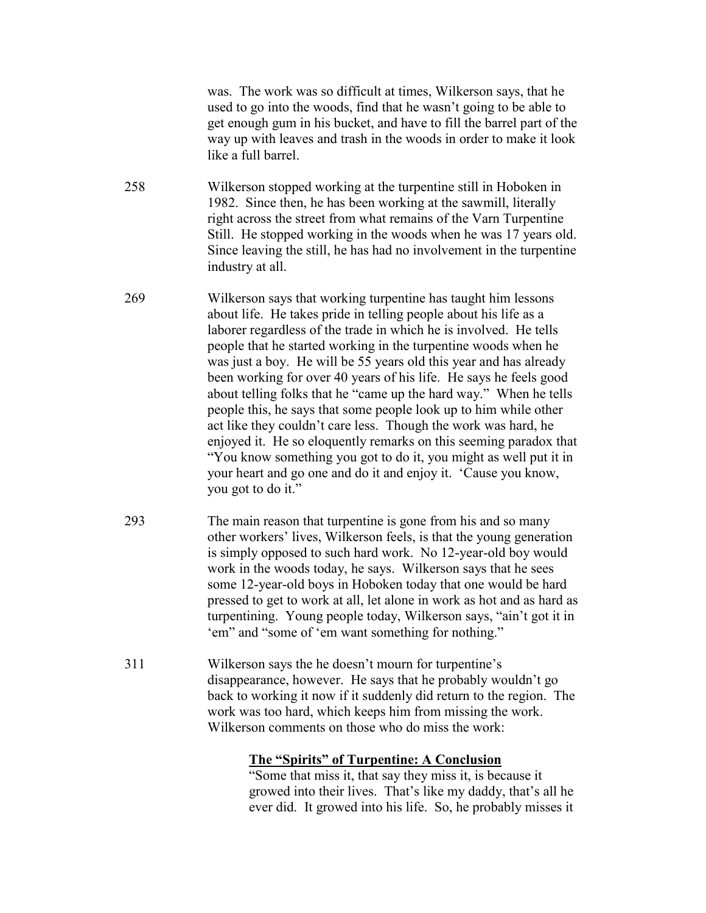was. The work was so difficult at times, Wilkerson says, that he used to go into the woods, find that he wasn't going to be able to get enough gum in his bucket, and have to fill the barrel part of the way up with leaves and trash in the woods in order to make it look like a full barrel.

258 Wilkerson stopped working at the turpentine still in Hoboken in 1982. Since then, he has been working at the sawmill, literally right across the street from what remains of the Varn Turpentine Still. He stopped working in the woods when he was 17 years old. Since leaving the still, he has had no involvement in the turpentine industry at all.

- 269 Wilkerson says that working turpentine has taught him lessons about life. He takes pride in telling people about his life as a laborer regardless of the trade in which he is involved. He tells people that he started working in the turpentine woods when he was just a boy. He will be 55 years old this year and has already been working for over 40 years of his life. He says he feels good about telling folks that he "came up the hard way." When he tells people this, he says that some people look up to him while other act like they couldn't care less. Though the work was hard, he enjoyed it. He so eloquently remarks on this seeming paradox that "You know something you got to do it, you might as well put it in your heart and go one and do it and enjoy it. 'Cause you know, you got to do it."
- 293 The main reason that turpentine is gone from his and so many other workers' lives, Wilkerson feels, is that the young generation is simply opposed to such hard work. No 12-year-old boy would work in the woods today, he says. Wilkerson says that he sees some 12-year-old boys in Hoboken today that one would be hard pressed to get to work at all, let alone in work as hot and as hard as turpentining. Young people today, Wilkerson says, "ain't got it in 'em" and "some of 'em want something for nothing."
- 311 Wilkerson says the he doesn't mourn for turpentine's disappearance, however. He says that he probably wouldn't go back to working it now if it suddenly did return to the region. The work was too hard, which keeps him from missing the work. Wilkerson comments on those who do miss the work:

## **The "Spirits" of Turpentine: A Conclusion**

"Some that miss it, that say they miss it, is because it growed into their lives. That's like my daddy, that's all he ever did. It growed into his life. So, he probably misses it